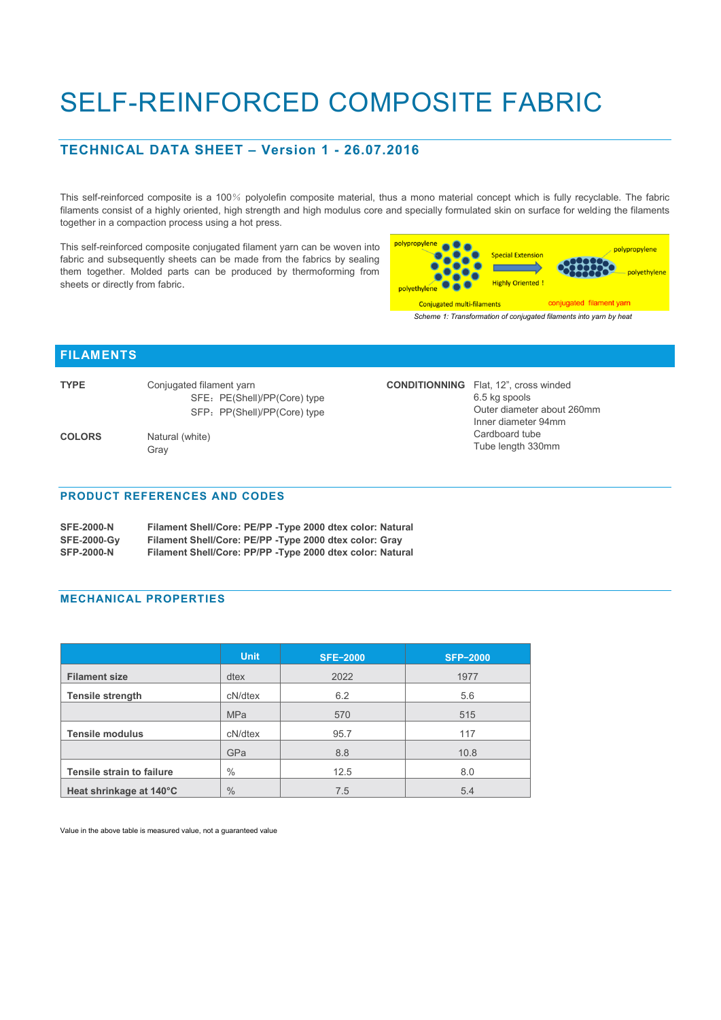# SELF-REINFORCED COMPOSITE FABRIC

## **TECHNICAL DATA SHEET – Version 1 - 26.07.2016**

This self-reinforced composite is a 100% polyolefin composite material, thus a mono material concept which is fully recyclable. The fabric filaments consist of a highly oriented, high strength and high modulus core and specially formulated skin on surface for welding the filaments together in a compaction process using a hot press.

This self-reinforced composite conjugated filament yarn can be woven into fabric and subsequently sheets can be made from the fabrics by sealing them together. Molded parts can be produced by thermoforming from sheets or directly from fabric.

| into<br>ling<br>om. | polypropylene<br><b>Special Extension</b><br><b>Highly Oriented!</b><br>polvethylene | polypropylene<br>polyethylene |
|---------------------|--------------------------------------------------------------------------------------|-------------------------------|
|                     | <b>Conjugated multi-filaments</b>                                                    | conjugated filament yarn      |
|                     | Scheme 1: Transformation of conjugated filaments into yarn by heat                   |                               |

Outer diameter about 260mm Inner diameter 94mm Cardboard tube Tube length 330mm

**CONDITIONNING** Flat, 12", cross winded

6.5 kg spools

### **FILAMENTS**

| <b>TYPE</b>   | Conjugated filament yarn     |  |  |  |
|---------------|------------------------------|--|--|--|
|               | SFE: PE(Shell)/PP(Core) type |  |  |  |
|               | SFP: PP(Shell)/PP(Core) type |  |  |  |
| <b>COLORS</b> | Natural (white)<br>Grav      |  |  |  |

#### **PRODUCT REFERENCES AND CODES**

| <b>SFE-2000-N</b>  | Filament Shell/Core: PE/PP - Type 2000 dtex color: Natural |  |  |  |
|--------------------|------------------------------------------------------------|--|--|--|
| <b>SFE-2000-Gy</b> | Filament Shell/Core: PE/PP - Type 2000 dtex color: Gray    |  |  |  |
| <b>SFP-2000-N</b>  | Filament Shell/Core: PP/PP - Type 2000 dtex color: Natural |  |  |  |

#### **MECHANICAL PROPERTIES**

|                                  | <b>Unit</b>   | <b>SFE-2000</b> | <b>SFP-2000</b> |
|----------------------------------|---------------|-----------------|-----------------|
| <b>Filament size</b>             | dtex          | 2022            | 1977            |
| <b>Tensile strength</b>          | cN/dtex       | 6.2             | 5.6             |
|                                  | <b>MPa</b>    | 570             | 515             |
| <b>Tensile modulus</b>           | cN/dtex       | 95.7            | 117             |
|                                  | GPa           | 8.8             | 10.8            |
| <b>Tensile strain to failure</b> | $\%$          | 12.5            | 8.0             |
| Heat shrinkage at 140°C          | $\frac{0}{0}$ | 7.5             | 5.4             |

Value in the above table is measured value, not a guaranteed value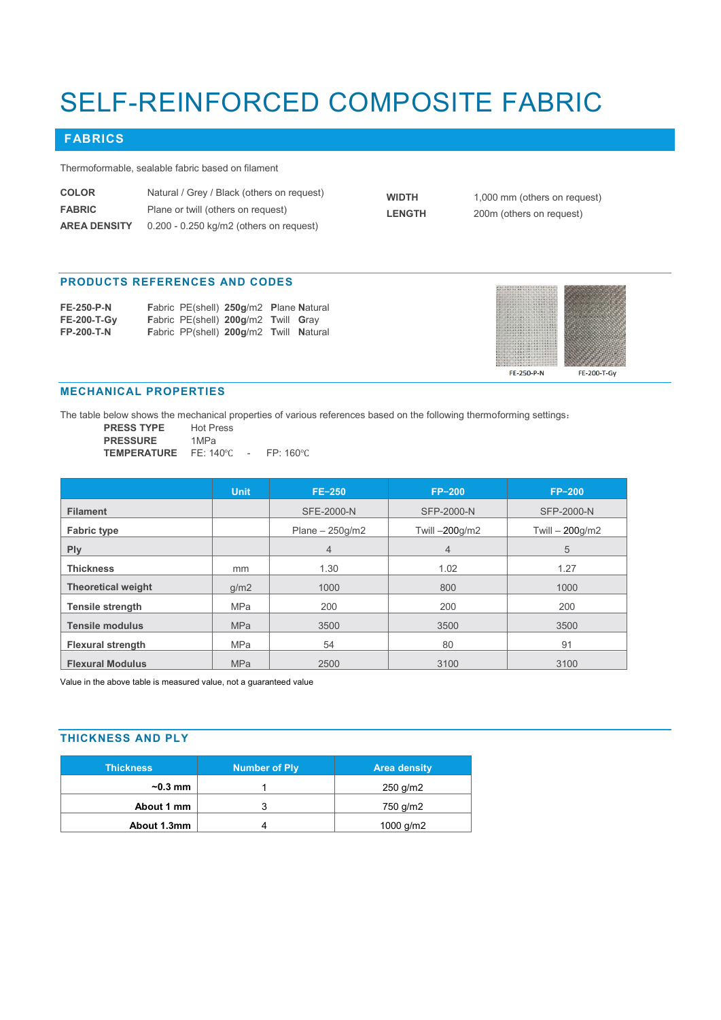# SELF-REINFORCED COMPOSITE FABRIC

# **FABRICS**

Thermoformable, sealable fabric based on filament

| <b>COLOR</b>        | Natural / Grey / Black (others on request)  | <b>WIDTH</b>  | 1,000 mm (others on request) |
|---------------------|---------------------------------------------|---------------|------------------------------|
| <b>FABRIC</b>       | Plane or twill (others on request)          | <b>LENGTH</b> | 200m (others on request)     |
| <b>AREA DENSITY</b> | $0.200$ - $0.250$ kg/m2 (others on request) |               |                              |

#### **PRODUCTS REFERENCES AND CODES**

| <b>FE-250-P-N</b>  |  | Fabric PE(shell) 250g/m2 Plane Natural |  |
|--------------------|--|----------------------------------------|--|
| <b>FE-200-T-Gv</b> |  | Fabric PE(shell) 200g/m2 Twill Gray    |  |
| <b>FP-200-T-N</b>  |  | Fabric PP(shell) 200g/m2 Twill Natural |  |



### **MECHANICAL PROPERTIES**

The table below shows the mechanical properties of various references based on the following thermoforming settings:

| <b>PRESS TYPE</b>  | <b>Hot Press</b> |        |                   |
|--------------------|------------------|--------|-------------------|
| <b>PRESSURE</b>    | 1MPa             |        |                   |
| <b>TEMPERATURE</b> | FF: 140°C        | $\sim$ | $FP:160^{\circ}C$ |

|                           | <b>Unit</b> | $FE-250$          | $FP-200$       | $FP-200$          |
|---------------------------|-------------|-------------------|----------------|-------------------|
| <b>Filament</b>           |             | <b>SFE-2000-N</b> | SFP-2000-N     | <b>SFP-2000-N</b> |
| <b>Fabric type</b>        |             | Plane $-250q/m2$  | Twill -200g/m2 | Twill - 200g/m2   |
| <b>Ply</b>                |             | $\overline{4}$    | $\overline{4}$ | 5                 |
| <b>Thickness</b>          | mm          | 1.30              | 1.02           | 1.27              |
| <b>Theoretical weight</b> | q/m2        | 1000              | 800            | 1000              |
| <b>Tensile strength</b>   | <b>MPa</b>  | 200               | 200            | 200               |
| <b>Tensile modulus</b>    | <b>MPa</b>  | 3500              | 3500           | 3500              |
| <b>Flexural strength</b>  | <b>MPa</b>  | 54                | 80             | 91                |
| <b>Flexural Modulus</b>   | <b>MPa</b>  | 2500              | 3100           | 3100              |

Value in the above table is measured value, not a guaranteed value

## **THICKNESS AND PLY**

| <b>Thickness</b> | Number of Ply | <b>Area density</b> |
|------------------|---------------|---------------------|
| $\sim$ 0.3 mm    |               | 250 g/m2            |
| About 1 mm       |               | 750 g/m2            |
| About 1.3mm      |               | 1000 g/m2           |